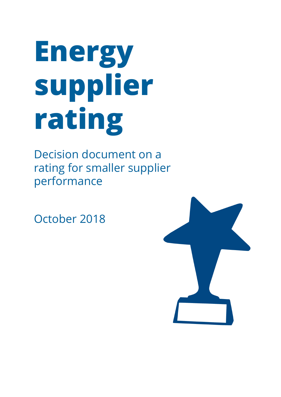# **Energy supplier rating**

Decision document on a rating for smaller supplier performance

October 2018

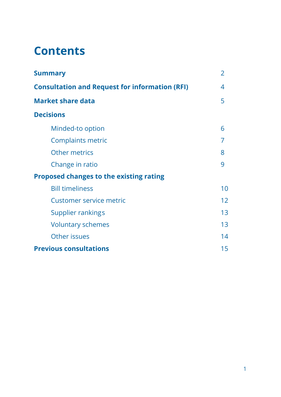### **Contents**

| <b>Summary</b>                                        | $\overline{2}$  |
|-------------------------------------------------------|-----------------|
| <b>Consultation and Request for information (RFI)</b> | 4               |
| <b>Market share data</b>                              | 5               |
| <b>Decisions</b>                                      |                 |
| Minded-to option                                      | 6               |
| <b>Complaints metric</b>                              |                 |
| <b>Other metrics</b>                                  | 8               |
| Change in ratio                                       | 9               |
| <b>Proposed changes to the existing rating</b>        |                 |
| <b>Bill timeliness</b>                                | 10              |
| Customer service metric                               | 12 <sup>2</sup> |
| Supplier rankings                                     | 13              |
| <b>Voluntary schemes</b>                              | 13              |
| Other issues                                          | 14              |
| <b>Previous consultations</b>                         | 15              |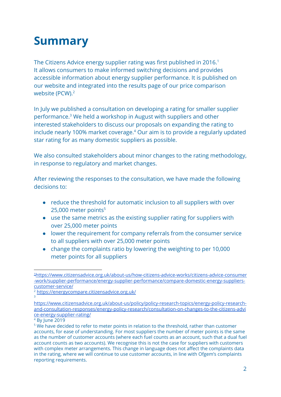### **Summary**

The Citizens Advice energy supplier rating was first published in 2016.<sup>1</sup> It allows consumers to make informed switching decisions and provides accessible information about energy supplier performance. It is published on our website and integrated into the results page of our price comparison website (PCW).<sup>2</sup>

In July we published a consultation on developing a rating for smaller supplier performance.<sup>3</sup> We held a workshop in August with suppliers and other interested stakeholders to discuss our proposals on expanding the rating to include nearly 100% market coverage.<sup>4</sup> Our aim is to provide a regularly updated star rating for as many domestic suppliers as possible.

We also consulted stakeholders about minor changes to the rating methodology, in response to regulatory and market changes.

After reviewing the responses to the consultation, we have made the following decisions to:

- reduce the threshold for automatic inclusion to all suppliers with over  $25,000$  meter points<sup>5</sup>
- use the same metrics as the existing supplier rating for suppliers with over 25,000 meter points
- lower the requirement for company referrals from the consumer service to all suppliers with over 25,000 meter points
- change the complaints ratio by lowering the weighting to per 10,000 meter points for all suppliers

<sup>1</sup>[https://www.citizensadvice.org.uk/about-us/how-citizens-advice-works/citizens-advice-consumer](https://www.citizensadvice.org.uk/about-us/how-citizens-advice-works/citizens-advice-consumer-work/supplier-performance/energy-supplier-performance/compare-domestic-energy-suppliers-customer-service/) [-work/supplier-performance/energy-supplier-performance/compare-domestic-energy-suppliers](https://www.citizensadvice.org.uk/about-us/how-citizens-advice-works/citizens-advice-consumer-work/supplier-performance/energy-supplier-performance/compare-domestic-energy-suppliers-customer-service/)[customer-service/](https://www.citizensadvice.org.uk/about-us/how-citizens-advice-works/citizens-advice-consumer-work/supplier-performance/energy-supplier-performance/compare-domestic-energy-suppliers-customer-service/)

<sup>2</sup> <https://energycompare.citizensadvice.org.uk/> 3

[https://www.citizensadvice.org.uk/about-us/policy/policy-research-topics/energy-policy-research](https://www.citizensadvice.org.uk/about-us/policy/policy-research-topics/energy-policy-research-and-consultation-responses/energy-policy-research/consultation-on-changes-to-the-citizens-advice-energy-supplier-rating/)[and-consultation-responses/energy-policy-research/consultation-on-changes-to-the-citizens-advi](https://www.citizensadvice.org.uk/about-us/policy/policy-research-topics/energy-policy-research-and-consultation-responses/energy-policy-research/consultation-on-changes-to-the-citizens-advice-energy-supplier-rating/) [ce-energy-supplier-rating/](https://www.citizensadvice.org.uk/about-us/policy/policy-research-topics/energy-policy-research-and-consultation-responses/energy-policy-research/consultation-on-changes-to-the-citizens-advice-energy-supplier-rating/)

<sup>4</sup> By June 2019

<sup>&</sup>lt;sup>5</sup> We have decided to refer to meter points in relation to the threshold, rather than customer accounts, for ease of understanding. For most suppliers the number of meter points is the same as the number of customer accounts (where each fuel counts as an account, such that a dual fuel account counts as two accounts). We recognise this is not the case for suppliers with customers with complex meter arrangements. This change in language does not affect the complaints data in the rating, where we will continue to use customer accounts, in line with Ofgem's complaints reporting requirements.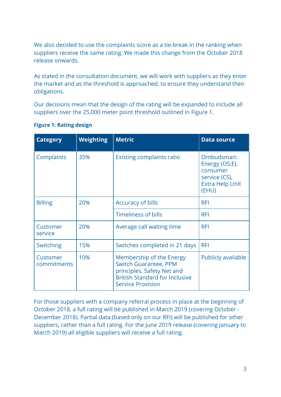We also decided to use the complaints score as a tie-break in the ranking when suppliers receive the same rating. We made this change from the October 2018 release onwards.

As stated in the consultation document, we will work with suppliers as they enter the market and as the threshold is approached, to ensure they understand their obligations.

Our decisions mean that the design of the rating will be expanded to include all suppliers over the 25,000 meter point threshold outlined in Figure 1.

| <b>Category</b>         | <b>Weighting</b> | <b>Metric</b>                                                                                                                                               | <b>Data source</b>                                                                           |
|-------------------------|------------------|-------------------------------------------------------------------------------------------------------------------------------------------------------------|----------------------------------------------------------------------------------------------|
| Complaints              | 35%              | <b>Existing complaints ratio</b>                                                                                                                            | Ombudsman:<br>Energy (OS:E),<br>consumer<br>service (CS),<br><b>Extra Help Unit</b><br>(EHU) |
| <b>Billing</b>          | 20%              | <b>Accuracy of bills</b>                                                                                                                                    | <b>RFI</b>                                                                                   |
|                         |                  | <b>Timeliness of bills</b>                                                                                                                                  | <b>RFI</b>                                                                                   |
| Customer<br>service     | 20%              | Average call waiting time                                                                                                                                   | <b>RFI</b>                                                                                   |
| Switching               | 15%              | Switches completed in 21 days                                                                                                                               | <b>RFI</b>                                                                                   |
| Customer<br>commitments | 10%              | Membership of the Energy<br><b>Switch Guarantee, PPM</b><br>principles, Safety Net and<br><b>British Standard for Inclusive</b><br><b>Service Provision</b> | Publicly available                                                                           |

#### **Figure 1: Rating design**

For those suppliers with a company referral process in place at the beginning of October 2018, a full rating will be published in March 2019 (covering October - December 2018). Partial data (based only on our RFI) will be published for other suppliers, rather than a full rating. For the June 2019 release (covering January to March 2019) all eligible suppliers will receive a full rating.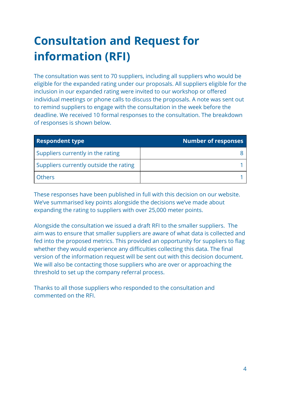# **Consultation and Request for information (RFI)**

The consultation was sent to 70 suppliers, including all suppliers who would be eligible for the expanded rating under our proposals. All suppliers eligible for the inclusion in our expanded rating were invited to our workshop or offered individual meetings or phone calls to discuss the proposals. A note was sent out to remind suppliers to engage with the consultation in the week before the deadline. We received 10 formal responses to the consultation. The breakdown of responses is shown below.

| <b>Respondent type</b>                 | <b>Number of responses</b> |
|----------------------------------------|----------------------------|
| Suppliers currently in the rating      |                            |
| Suppliers currently outside the rating |                            |
| <b>Others</b>                          |                            |

These responses have been published in full with this decision on our website. We've summarised key points alongside the decisions we've made about expanding the rating to suppliers with over 25,000 meter points.

Alongside the consultation we issued a draft RFI to the smaller suppliers. The aim was to ensure that smaller suppliers are aware of what data is collected and fed into the proposed metrics. This provided an opportunity for suppliers to flag whether they would experience any difficulties collecting this data. The final version of the information request will be sent out with this decision document. We will also be contacting those suppliers who are over or approaching the threshold to set up the company referral process.

Thanks to all those suppliers who responded to the consultation and commented on the RFI.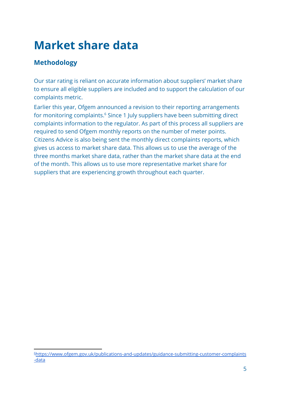### **Market share data**

#### **Methodology**

Our star rating is reliant on accurate information about suppliers' market share to ensure all eligible suppliers are included and to support the calculation of our complaints metric.

Earlier this year, Ofgem announced a revision to their reporting arrangements for monitoring complaints.<sup>6</sup> Since 1 July suppliers have been submitting direct complaints information to the regulator. As part of this process all suppliers are required to send Ofgem monthly reports on the number of meter points. Citizens Advice is also being sent the monthly direct complaints reports, which gives us access to market share data. This allows us to use the average of the three months market share data, rather than the market share data at the end of the month. This allows us to use more representative market share for suppliers that are experiencing growth throughout each quarter.

<sup>6</sup>[https://www.ofgem.gov.uk/publications-and-updates/guidance-submitting-customer-complaints](https://www.ofgem.gov.uk/publications-and-updates/guidance-submitting-customer-complaints-data) [-data](https://www.ofgem.gov.uk/publications-and-updates/guidance-submitting-customer-complaints-data)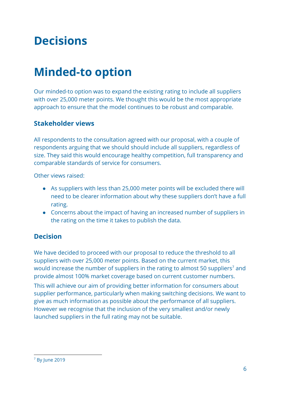### **Decisions**

### **Minded-to option**

Our minded-to option was to expand the existing rating to include all suppliers with over 25,000 meter points. We thought this would be the most appropriate approach to ensure that the model continues to be robust and comparable.

#### **Stakeholder views**

All respondents to the consultation agreed with our proposal, with a couple of respondents arguing that we should should include all suppliers, regardless of size. They said this would encourage healthy competition, full transparency and comparable standards of service for consumers.

Other views raised:

- As suppliers with less than 25,000 meter points will be excluded there will need to be clearer information about why these suppliers don't have a full rating.
- Concerns about the impact of having an increased number of suppliers in the rating on the time it takes to publish the data.

#### **Decision**

We have decided to proceed with our proposal to reduce the threshold to all suppliers with over 25,000 meter points. Based on the current market, this would increase the number of suppliers in the rating to almost 50 suppliers<sup>7</sup> and provide almost 100% market coverage based on current customer numbers.

This will achieve our aim of providing better information for consumers about supplier performance, particularly when making switching decisions. We want to give as much information as possible about the performance of all suppliers. However we recognise that the inclusion of the very smallest and/or newly launched suppliers in the full rating may not be suitable.

<sup>7</sup> By June 2019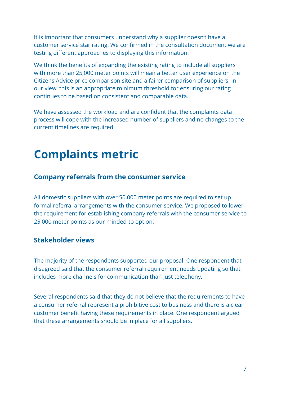It is important that consumers understand why a supplier doesn't have a customer service star rating. We confirmed in the consultation document we are testing different approaches to displaying this information.

We think the benefits of expanding the existing rating to include all suppliers with more than 25,000 meter points will mean a better user experience on the Citizens Advice price comparison site and a fairer comparison of suppliers. In our view, this is an appropriate minimum threshold for ensuring our rating continues to be based on consistent and comparable data.

We have assessed the workload and are confident that the complaints data process will cope with the increased number of suppliers and no changes to the current timelines are required.

### **Complaints metric**

#### **Company referrals from the consumer service**

All domestic suppliers with over 50,000 meter points are required to set up formal referral arrangements with the consumer service. We proposed to lower the requirement for establishing company referrals with the consumer service to 25,000 meter points as our minded-to option.

#### **Stakeholder views**

The majority of the respondents supported our proposal. One respondent that disagreed said that the consumer referral requirement needs updating so that includes more channels for communication than just telephony.

Several respondents said that they do not believe that the requirements to have a consumer referral represent a prohibitive cost to business and there is a clear customer benefit having these requirements in place. One respondent argued that these arrangements should be in place for all suppliers.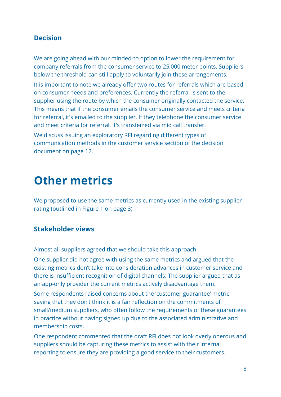#### **Decision**

We are going ahead with our minded-to option to lower the requirement for company referrals from the consumer service to 25,000 meter points. Suppliers below the threshold can still apply to voluntarily join these arrangements.

It is important to note we already offer two routes for referrals which are based on consumer needs and preferences. Currently the referral is sent to the supplier using the route by which the consumer originally contacted the service. This means that if the consumer emails the consumer service and meets criteria for referral, it's emailed to the supplier. If they telephone the consumer service and meet criteria for referral, it's transferred via mid call transfer.

We discuss issuing an exploratory RFI regarding different types of communication methods in the customer service section of the decision document on page 12.

### **Other metrics**

We proposed to use the same metrics as currently used in the existing supplier rating (outlined in Figure 1 on page 3)

#### **Stakeholder views**

Almost all suppliers agreed that we should take this approach

One supplier did not agree with using the same metrics and argued that the existing metrics don't take into consideration advances in customer service and there is insufficient recognition of digital channels. The supplier argued that as an app-only provider the current metrics actively disadvantage them.

Some respondents raised concerns about the 'customer guarantee' metric saying that they don't think it is a fair reflection on the commitments of small/medium suppliers, who often follow the requirements of these guarantees in practice without having signed up due to the associated administrative and membership costs.

One respondent commented that the draft RFI does not look overly onerous and suppliers should be capturing these metrics to assist with their internal reporting to ensure they are providing a good service to their customers.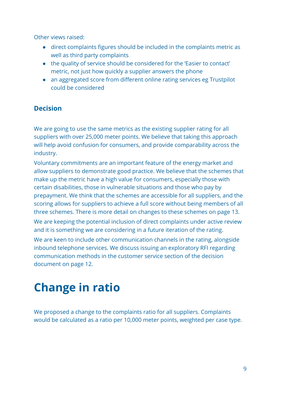Other views raised:

- direct complaints figures should be included in the complaints metric as well as third party complaints
- the quality of service should be considered for the 'Easier to contact' metric, not just how quickly a supplier answers the phone
- an aggregated score from different online rating services eg Trustpilot could be considered

#### **Decision**

We are going to use the same metrics as the existing supplier rating for all suppliers with over 25,000 meter points. We believe that taking this approach will help avoid confusion for consumers, and provide comparability across the industry.

Voluntary commitments are an important feature of the energy market and allow suppliers to demonstrate good practice. We believe that the schemes that make up the metric have a high value for consumers, especially those with certain disabilities, those in vulnerable situations and those who pay by prepayment. We think that the schemes are accessible for all suppliers, and the scoring allows for suppliers to achieve a full score without being members of all three schemes. There is more detail on changes to these schemes on page 13.

We are keeping the potential inclusion of direct complaints under active review and it is something we are considering in a future iteration of the rating.

We are keen to include other communication channels in the rating, alongside inbound telephone services. We discuss issuing an exploratory RFI regarding communication methods in the customer service section of the decision document on page 12.

# **Change in ratio**

We proposed a change to the complaints ratio for all suppliers. Complaints would be calculated as a ratio per 10,000 meter points, weighted per case type.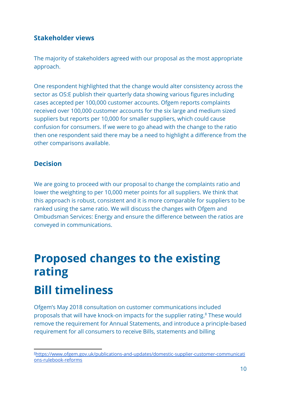#### **Stakeholder views**

The majority of stakeholders agreed with our proposal as the most appropriate approach.

One respondent highlighted that the change would alter consistency across the sector as OS:E publish their quarterly data showing various figures including cases accepted per 100,000 customer accounts. Ofgem reports complaints received over 100,000 customer accounts for the six large and medium sized suppliers but reports per 10,000 for smaller suppliers, which could cause confusion for consumers. If we were to go ahead with the change to the ratio then one respondent said there may be a need to highlight a difference from the other comparisons available.

#### **Decision**

We are going to proceed with our proposal to change the complaints ratio and lower the weighting to per 10,000 meter points for all suppliers. We think that this approach is robust, consistent and it is more comparable for suppliers to be ranked using the same ratio. We will discuss the changes with Ofgem and Ombudsman Services: Energy and ensure the difference between the ratios are conveyed in communications.

# **Proposed changes to the existing rating Bill timeliness**

Ofgem's May 2018 consultation on customer communications included proposals that will have knock-on impacts for the supplier rating.<sup>8</sup> These would remove the requirement for Annual Statements, and introduce a principle-based requirement for all consumers to receive Bills, statements and billing

<sup>8</sup>[https://www.ofgem.gov.uk/publications-and-updates/domestic-supplier-customer-communicati](https://www.ofgem.gov.uk/publications-and-updates/domestic-supplier-customer-communications-rulebook-reforms) [ons-rulebook-reforms](https://www.ofgem.gov.uk/publications-and-updates/domestic-supplier-customer-communications-rulebook-reforms)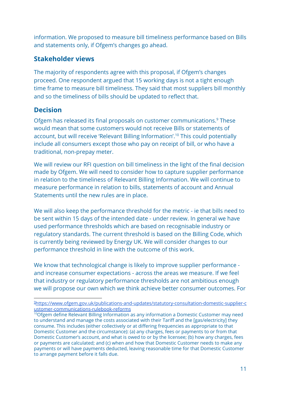information. We proposed to measure bill timeliness performance based on Bills and statements only, if Ofgem's changes go ahead.

#### **Stakeholder views**

The majority of respondents agree with this proposal, if Ofgem's changes proceed. One respondent argued that 15 working days is not a tight enough time frame to measure bill timeliness. They said that most suppliers bill monthly and so the timeliness of bills should be updated to reflect that.

#### **Decision**

Ofgem has released its final proposals on customer communications.<sup>9</sup> These would mean that some customers would not receive Bills or statements of account, but will receive 'Relevant Billing Information'.<sup>10</sup> This could potentially include all consumers except those who pay on receipt of bill, or who have a traditional, non-prepay meter.

We will review our RFI question on bill timeliness in the light of the final decision made by Ofgem. We will need to consider how to capture supplier performance in relation to the timeliness of Relevant Billing Information. We will continue to measure performance in relation to bills, statements of account and Annual Statements until the new rules are in place.

We will also keep the performance threshold for the metric - ie that bills need to be sent within 15 days of the intended date - under review. In general we have used performance thresholds which are based on recognisable industry or regulatory standards. The current threshold is based on the Billing Code, which is currently being reviewed by Energy UK. We will consider changes to our performance threshold in line with the outcome of this work.

We know that technological change is likely to improve supplier performance and increase consumer expectations - across the areas we measure. If we feel that industry or regulatory performance thresholds are not ambitious enough we will propose our own which we think achieve better consumer outcomes. For

<sup>9</sup>[https://www.ofgem.gov.uk/publications-and-updates/statutory-consultation-domestic-supplier-c](https://www.ofgem.gov.uk/publications-and-updates/statutory-consultation-domestic-supplier-customer-communications-rulebook-reforms) [ustomer-communications-rulebook-reforms](https://www.ofgem.gov.uk/publications-and-updates/statutory-consultation-domestic-supplier-customer-communications-rulebook-reforms)

 $10$ Ofgem define Relevant Billing Information as any information a Domestic Customer may need to understand and manage the costs associated with their Tariff and the [gas/electricity] they consume. This includes (either collectively or at differing frequencies as appropriate to that Domestic Customer and the circumstance): (a) any charges, fees or payments to or from that Domestic Customer's account, and what is owed to or by the licensee; (b) how any charges, fees or payments are calculated; and (c) when and how that Domestic Customer needs to make any payments or will have payments deducted, leaving reasonable time for that Domestic Customer to arrange payment before it falls due.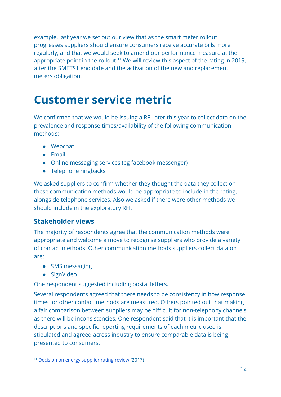example, last year we set out our view that as the smart meter rollout progresses suppliers should ensure consumers receive accurate bills more regularly, and that we would seek to amend our performance measure at the appropriate point in the rollout.<sup>11</sup> We will review this aspect of the rating in 2019, after the SMETS1 end date and the activation of the new and replacement meters obligation.

### **Customer service metric**

We confirmed that we would be issuing a RFI later this year to collect data on the prevalence and response times/availability of the following communication methods:

- Webchat
- Email
- Online messaging services (eg facebook messenger)
- Telephone ringbacks

We asked suppliers to confirm whether they thought the data they collect on these communication methods would be appropriate to include in the rating, alongside telephone services. Also we asked if there were other methods we should include in the exploratory RFI.

#### **Stakeholder views**

The majority of respondents agree that the communication methods were appropriate and welcome a move to recognise suppliers who provide a variety of contact methods. Other communication methods suppliers collect data on are:

- SMS messaging
- SignVideo

One respondent suggested including postal letters.

Several respondents agreed that there needs to be consistency in how response times for other contact methods are measured. Others pointed out that making a fair comparison between suppliers may be difficult for non-telephony channels as there will be inconsistencies. One respondent said that it is important that the descriptions and specific reporting requirements of each metric used is stipulated and agreed across industry to ensure comparable data is being presented to consumers.

<sup>&</sup>lt;sup>11</sup> [Decision](https://www.citizensadvice.org.uk/about-us/policy/policy-research-topics/energy-policy-research-and-consultation-responses/energy-policy-research/decision-on-changes-to-the-energy-supplier-rating/) on energy supplier rating review (2017)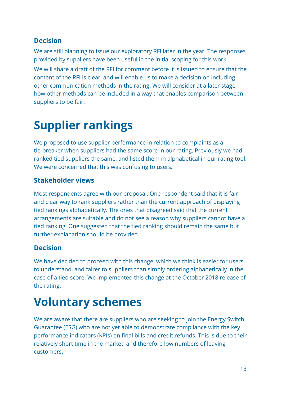#### **Decision**

We are still planning to issue our exploratory RFI later in the year. The responses provided by suppliers have been useful in the initial scoping for this work.

We will share a draft of the RFI for comment before it is issued to ensure that the content of the RFI is clear, and will enable us to make a decision on including other communication methods in the rating. We will consider at a later stage how other methods can be included in a way that enables comparison between suppliers to be fair.

### **Supplier rankings**

We proposed to use supplier performance in relation to complaints as a tie-breaker when suppliers had the same score in our rating. Previously we had ranked tied suppliers the same, and listed them in alphabetical in our rating tool. We were concerned that this was confusing to users.

#### **Stakeholder views**

Most respondents agree with our proposal. One respondent said that it is fair and clear way to rank suppliers rather than the current approach of displaying tied rankings alphabetically. The ones that disagreed said that the current arrangements are suitable and do not see a reason why suppliers cannot have a tied ranking. One suggested that the tied ranking should remain the same but further explanation should be provided

#### **Decision**

We have decided to proceed with this change, which we think is easier for users to understand, and fairer to suppliers than simply ordering alphabetically in the case of a tied score. We implemented this change at the October 2018 release of the rating.

### **Voluntary schemes**

We are aware that there are suppliers who are seeking to join the Energy Switch Guarantee (ESG) who are not yet able to demonstrate compliance with the key performance indicators (KPIs) on final bills and credit refunds. This is due to their relatively short time in the market, and therefore low numbers of leaving customers.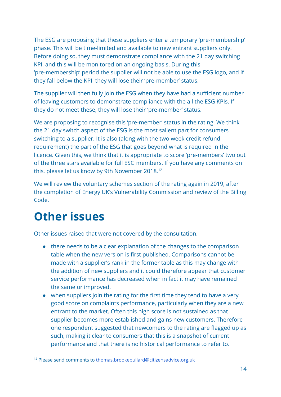The ESG are proposing that these suppliers enter a temporary 'pre-membership' phase. This will be time-limited and available to new entrant suppliers only. Before doing so, they must demonstrate compliance with the 21 day switching KPI, and this will be monitored on an ongoing basis. During this 'pre-membership' period the supplier will not be able to use the ESG logo, and if they fall below the KPI they will lose their 'pre-member' status.

The supplier will then fully join the ESG when they have had a sufficient number of leaving customers to demonstrate compliance with the all the ESG KPIs. If they do not meet these, they will lose their 'pre-member' status.

We are proposing to recognise this 'pre-member' status in the rating. We think the 21 day switch aspect of the ESG is the most salient part for consumers switching to a supplier. It is also (along with the two week credit refund requirement) the part of the ESG that goes beyond what is required in the licence. Given this, we think that it is appropriate to score 'pre-members' two out of the three stars available for full ESG members. If you have any comments on this, please let us know by 9th November 2018.<sup>12</sup>

We will review the voluntary schemes section of the rating again in 2019, after the completion of Energy UK's Vulnerability Commission and review of the Billing Code.

### **Other issues**

Other issues raised that were not covered by the consultation.

- there needs to be a clear explanation of the changes to the comparison table when the new version is first published. Comparisons cannot be made with a supplier's rank in the former table as this may change with the addition of new suppliers and it could therefore appear that customer service performance has decreased when in fact it may have remained the same or improved.
- when suppliers join the rating for the first time they tend to have a very good score on complaints performance, particularly when they are a new entrant to the market. Often this high score is not sustained as that supplier becomes more established and gains new customers. Therefore one respondent suggested that newcomers to the rating are flagged up as such, making it clear to consumers that this is a snapshot of current performance and that there is no historical performance to refer to.

<sup>12</sup> Please send comments to [thomas.brookebullard@citizensadvice.org.uk](mailto:thomas.brookebullard@citizensadvice.org.uk)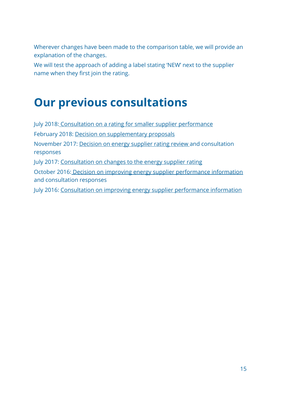Wherever changes have been made to the comparison table, we will provide an explanation of the changes.

We will test the approach of adding a label stating 'NEW' next to the supplier name when they first join the rating.

### **Our previous consultations**

July 2018[: Consultation on a rating for smaller supplier performance](https://www.citizensadvice.org.uk/Global/CitizensAdvice/Energy/Energy%20Consultation%20responses/Energy%20Supplier%20Rating_Consultation%20smaller%20suppliers%20rating310718.pdf) February 2018: [Decision on supplementary proposals](https://www.citizensadvice.org.uk/Global/CitizensAdvice/Energy/Energy%20Consultation%20responses/Energy%20supplier%20rating%20-%20decision%20on%20supplementary%20proposals_v2.pdf) November 2017: [Decision on energy supplier rating review](https://www.citizensadvice.org.uk/about-us/policy/policy-research-topics/energy-policy-research-and-consultation-responses/energy-policy-research/decision-on-changes-to-the-energy-supplier-rating/) and consultation responses July 2017: [Consultation on changes to the energy supplier rating](https://www.citizensadvice.org.uk/about-us/policy/policy-research-topics/energy-policy-research-and-consultation-responses/energy-policy-research/consultation-on-changes-to-the-citizens-advice-energy-supplier-rating/) October 2016: [Decision on improving energy supplier performance information](https://www.citizensadvice.org.uk/about-us/policy/policy-research-topics/energy-policy-research-and-consultation-responses/energy-policy-research/improving-energy-supplier-performance-information-energy-supplier-comparison-tool-consultation-decision-document/) and consultation responses July 2016: [Consultation on improving energy supplier performance information](https://www.citizensadvice.org.uk/about-us/policy/policy-research-topics/energy-policy-research-and-consultation-responses/energy-policy-research/improving-energy-supplier-performance-information-energy-supplier-comparison-tool-consultation/)